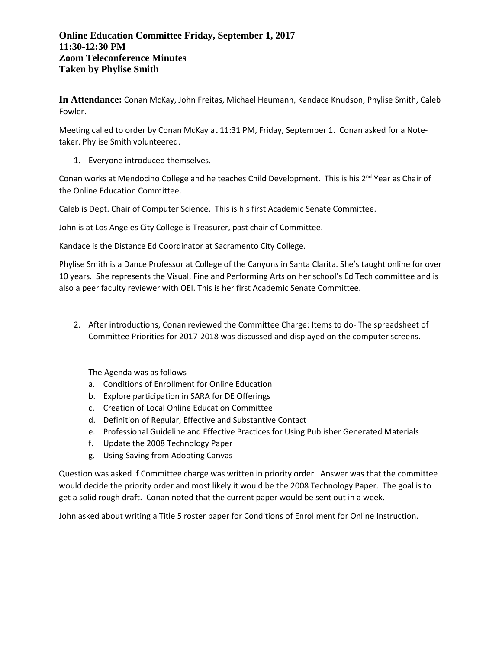## **Online Education Committee Friday, September 1, 2017 11:30-12:30 PM Zoom Teleconference Minutes Taken by Phylise Smith**

**In Attendance:** Conan McKay, John Freitas, Michael Heumann, Kandace Knudson, Phylise Smith, Caleb Fowler.

Meeting called to order by Conan McKay at 11:31 PM, Friday, September 1. Conan asked for a Notetaker. Phylise Smith volunteered.

1. Everyone introduced themselves.

Conan works at Mendocino College and he teaches Child Development. This is his 2<sup>nd</sup> Year as Chair of the Online Education Committee.

Caleb is Dept. Chair of Computer Science. This is his first Academic Senate Committee.

John is at Los Angeles City College is Treasurer, past chair of Committee.

Kandace is the Distance Ed Coordinator at Sacramento City College.

Phylise Smith is a Dance Professor at College of the Canyons in Santa Clarita. She's taught online for over 10 years. She represents the Visual, Fine and Performing Arts on her school's Ed Tech committee and is also a peer faculty reviewer with OEI. This is her first Academic Senate Committee.

2. After introductions, Conan reviewed the Committee Charge: Items to do- The spreadsheet of Committee Priorities for 2017-2018 was discussed and displayed on the computer screens.

The Agenda was as follows

- a. Conditions of Enrollment for Online Education
- b. Explore participation in SARA for DE Offerings
- c. Creation of Local Online Education Committee
- d. Definition of Regular, Effective and Substantive Contact
- e. Professional Guideline and Effective Practices for Using Publisher Generated Materials
- f. Update the 2008 Technology Paper
- g. Using Saving from Adopting Canvas

Question was asked if Committee charge was written in priority order. Answer was that the committee would decide the priority order and most likely it would be the 2008 Technology Paper. The goal is to get a solid rough draft. Conan noted that the current paper would be sent out in a week.

John asked about writing a Title 5 roster paper for Conditions of Enrollment for Online Instruction.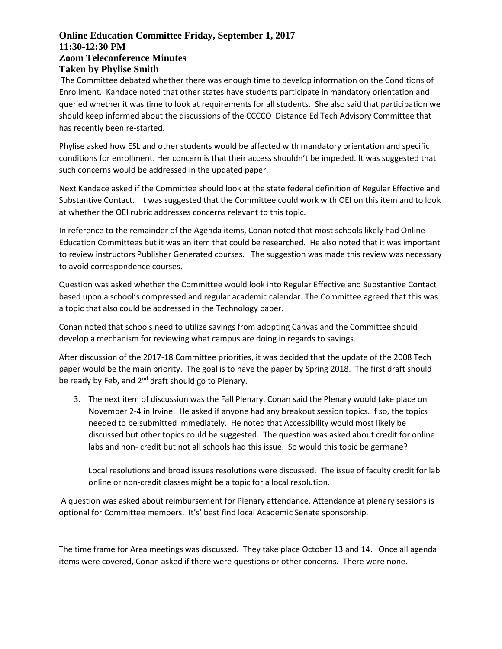## **Online Education Committee Friday, September 1, 2017 11:30-12:30 PM Zoom Teleconference Minutes Taken by Phylise Smith**

The Committee debated whether there was enough time to develop information on the Conditions of Enrollment. Kandace noted that other states have students participate in mandatory orientation and queried whether it was time to look at requirements for all students. She also said that participation we should keep informed about the discussions of the CCCCO Distance Ed Tech Advisory Committee that has recently been re-started.

Phylise asked how ESL and other students would be affected with mandatory orientation and specific conditions for enrollment. Her concern is that their access shouldn't be impeded. It was suggested that such concerns would be addressed in the updated paper.

Next Kandace asked if the Committee should look at the state federal definition of Regular Effective and Substantive Contact. It was suggested that the Committee could work with OEI on this item and to look at whether the OEI rubric addresses concerns relevant to this topic.

In reference to the remainder of the Agenda items, Conan noted that most schools likely had Online Education Committees but it was an item that could be researched. He also noted that it was important to review instructors Publisher Generated courses. The suggestion was made this review was necessary to avoid correspondence courses.

Question was asked whether the Committee would look into Regular Effective and Substantive Contact based upon a school's compressed and regular academic calendar. The Committee agreed that this was a topic that also could be addressed in the Technology paper.

Conan noted that schools need to utilize savings from adopting Canvas and the Committee should develop a mechanism for reviewing what campus are doing in regards to savings.

After discussion of the 2017-18 Committee priorities, it was decided that the update of the 2008 Tech paper would be the main priority. The goal is to have the paper by Spring 2018. The first draft should be ready by Feb, and 2<sup>nd</sup> draft should go to Plenary.

3. The next item of discussion was the Fall Plenary. Conan said the Plenary would take place on November 2-4 in Irvine. He asked if anyone had any breakout session topics. If so, the topics needed to be submitted immediately. He noted that Accessibility would most likely be discussed but other topics could be suggested. The question was asked about credit for online labs and non- credit but not all schools had this issue. So would this topic be germane?

Local resolutions and broad issues resolutions were discussed. The issue of faculty credit for lab online or non-credit classes might be a topic for a local resolution.

A question was asked about reimbursement for Plenary attendance. Attendance at plenary sessions is optional for Committee members. It's' best find local Academic Senate sponsorship.

The time frame for Area meetings was discussed. They take place October 13 and 14. Once all agenda items were covered, Conan asked if there were questions or other concerns. There were none.